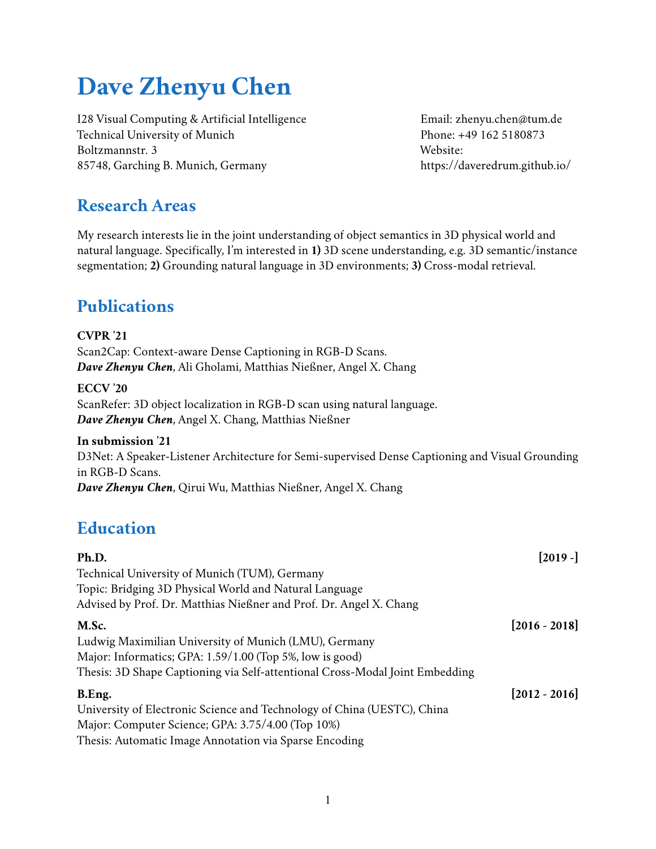# **Dave Zhenyu Chen**

I28 Visual Computing & Artificial Intelligence Technical University of Munich Boltzmannstr. 3 85748, Garching B. Munich, Germany

Email: [zhenyu.chen@tum.de](mailto:zhenyu.chen@tum.de) Phone: +49 162 5180873 Website: <https://daveredrum.github.io/>

### **Research Areas**

My research interests lie in the joint understanding of object semantics in 3D physical world and natural language. Specifically, I'm interested in **1)** 3D scene understanding, e.g. 3D semantic/instance segmentation; **2)** Grounding natural language in 3D environments; **3)** Cross-modal retrieval.

## **Publications**

#### **CVPR '21**

[Scan2Cap: Context-aware Dense Captioning in RGB-D Scans.](https://arxiv.org/abs/2012.02206) *Dave Zhenyu Chen*, Ali Gholami, Matthias Nießner, Angel X. Chang

#### **ECCV '20**

[ScanRefer: 3D object localization in RGB-D scan using natural language.](https://arxiv.org/abs/1912.08830) *Dave Zhenyu Chen*, Angel X. Chang, Matthias Nießner

#### **In submission '21**

[D3Net: A Speaker-Listener Architecture for Semi-supervised Dense Captioning and Visual Grounding](https://arxiv.org/abs/2112.01551) [in RGB-D Scans.](https://arxiv.org/abs/2112.01551) *Dave Zhenyu Chen*, Qirui Wu, Matthias Nießner, Angel X. Chang

### **Education**

| Ph.D.                                                                        | $[2019 -]$      |
|------------------------------------------------------------------------------|-----------------|
| Technical University of Munich (TUM), Germany                                |                 |
| Topic: Bridging 3D Physical World and Natural Language                       |                 |
| Advised by Prof. Dr. Matthias Nießner and Prof. Dr. Angel X. Chang           |                 |
| M.Sc.                                                                        | $[2016 - 2018]$ |
| Ludwig Maximilian University of Munich (LMU), Germany                        |                 |
| Major: Informatics; GPA: 1.59/1.00 (Top 5%, low is good)                     |                 |
| Thesis: 3D Shape Captioning via Self-attentional Cross-Modal Joint Embedding |                 |
| B.Eng.                                                                       | $[2012 - 2016]$ |
| University of Electronic Science and Technology of China (UESTC), China      |                 |
| Major: Computer Science; GPA: 3.75/4.00 (Top 10%)                            |                 |
| Thesis: Automatic Image Annotation via Sparse Encoding                       |                 |